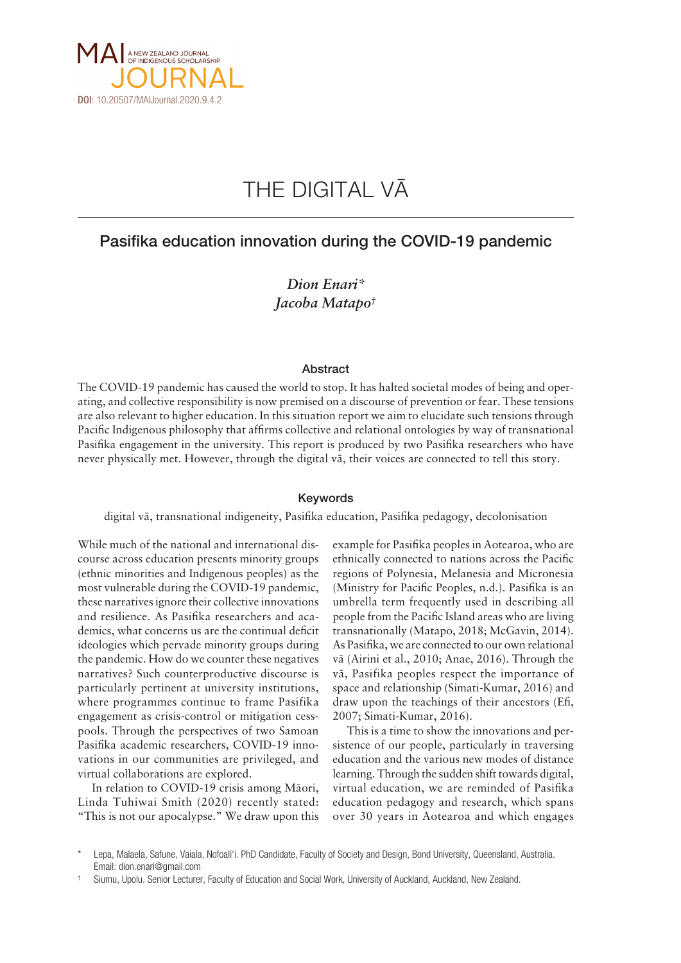

# THE DIGITAL VÄ

## Pasifika education innovation during the COVID-19 pandemic

*Dion Enari\* Jacoba Matapo†*

#### Abstract

The COVID-19 pandemic has caused the world to stop. It has halted societal modes of being and operating, and collective responsibility is now premised on a discourse of prevention or fear. These tensions are also relevant to higher education. In this situation report we aim to elucidate such tensions through Pacific Indigenous philosophy that affirms collective and relational ontologies by way of transnational Pasifika engagement in the university. This report is produced by two Pasifika researchers who have never physically met. However, through the digital vä, their voices are connected to tell this story.

### Keywords

digital vä, transnational indigeneity, Pasifika education, Pasifika pedagogy, decolonisation

While much of the national and international discourse across education presents minority groups (ethnic minorities and Indigenous peoples) as the most vulnerable during the COVID-19 pandemic, these narratives ignore their collective innovations and resilience. As Pasifika researchers and academics, what concerns us are the continual deficit ideologies which pervade minority groups during the pandemic. How do we counter these negatives narratives? Such counterproductive discourse is particularly pertinent at university institutions, where programmes continue to frame Pasifika engagement as crisis-control or mitigation cesspools. Through the perspectives of two Samoan Pasifika academic researchers, COVID-19 innovations in our communities are privileged, and virtual collaborations are explored.

In relation to COVID-19 crisis among Mäori, Linda Tuhiwai Smith (2020) recently stated: "This is not our apocalypse." We draw upon this example for Pasifika peoples in Aotearoa, who are ethnically connected to nations across the Pacific regions of Polynesia, Melanesia and Micronesia (Ministry for Pacific Peoples, n.d.). Pasifika is an umbrella term frequently used in describing all people from the Pacific Island areas who are living transnationally (Matapo, 2018; McGavin, 2014). As Pasifika, we are connected to our own relational vä (Airini et al., 2010; Anae, 2016). Through the vä, Pasifika peoples respect the importance of space and relationship (Simati-Kumar, 2016) and draw upon the teachings of their ancestors (Efi, 2007; Simati-Kumar, 2016).

This is a time to show the innovations and persistence of our people, particularly in traversing education and the various new modes of distance learning. Through the sudden shift towards digital, virtual education, we are reminded of Pasifika education pedagogy and research, which spans over 30 years in Aotearoa and which engages

Lepa, Malaela, Safune, Vaiala, Nofoali'i. PhD Candidate, Faculty of Society and Design, Bond University, Queensland, Australia. Email: [dion.enari@gmail.com](mailto:dion.enari@gmail.com)

<sup>†</sup> Siumu, Upolu. Senior Lecturer, Faculty of Education and Social Work, University of Auckland, Auckland, New Zealand.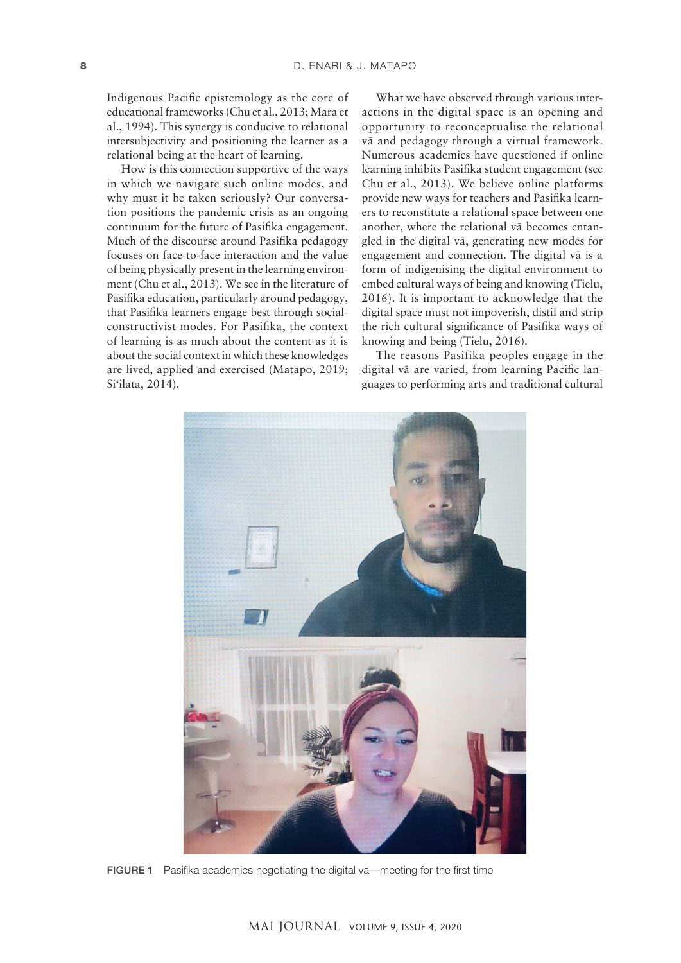Indigenous Pacific epistemology as the core of educational frameworks (Chu et al., 2013; Mara et al., 1994). This synergy is conducive to relational intersubjectivity and positioning the learner as a relational being at the heart of learning.

How is this connection supportive of the ways in which we navigate such online modes, and why must it be taken seriously? Our conversation positions the pandemic crisis as an ongoing continuum for the future of Pasifika engagement. Much of the discourse around Pasifika pedagogy focuses on face-to-face interaction and the value of being physically present in the learning environment (Chu et al., 2013). We see in the literature of Pasifika education, particularly around pedagogy, that Pasifika learners engage best through socialconstructivist modes. For Pasifika, the context of learning is as much about the content as it is about the social context in which these knowledges are lived, applied and exercised (Matapo, 2019; Si'ilata, 2014).

What we have observed through various interactions in the digital space is an opening and opportunity to reconceptualise the relational vä and pedagogy through a virtual framework. Numerous academics have questioned if online learning inhibits Pasifika student engagement (see Chu et al., 2013). We believe online platforms provide new ways for teachers and Pasifika learners to reconstitute a relational space between one another, where the relational vä becomes entangled in the digital vä, generating new modes for engagement and connection. The digital vä is a form of indigenising the digital environment to embed cultural ways of being and knowing (Tielu, 2016). It is important to acknowledge that the digital space must not impoverish, distil and strip the rich cultural significance of Pasifika ways of knowing and being (Tielu, 2016).

The reasons Pasifika peoples engage in the digital vä are varied, from learning Pacific languages to performing arts and traditional cultural



FIGURE 1 Pasifika academics negotiating the digital vä—meeting for the first time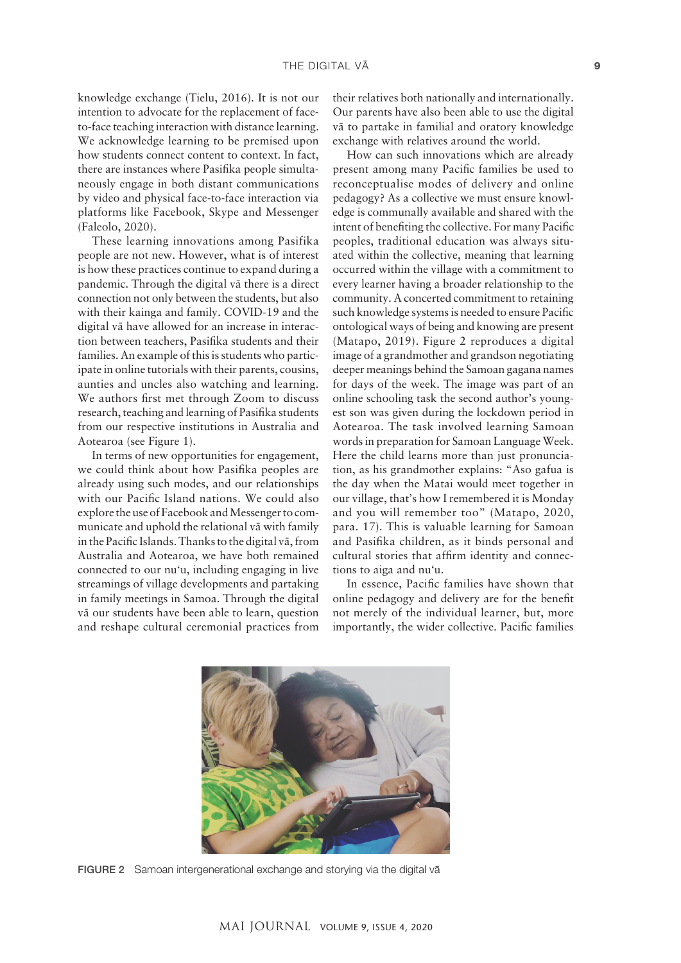knowledge exchange (Tielu, 2016). It is not our intention to advocate for the replacement of faceto-face teaching interaction with distance learning. We acknowledge learning to be premised upon how students connect content to context. In fact, there are instances where Pasifika people simultaneously engage in both distant communications by video and physical face-to-face interaction via platforms like Facebook, Skype and Messenger (Faleolo, 2020).

These learning innovations among Pasifika people are not new. However, what is of interest is how these practices continue to expand during a pandemic. Through the digital vä there is a direct connection not only between the students, but also with their kainga and family. COVID-19 and the digital vä have allowed for an increase in interaction between teachers, Pasifika students and their families. An example of this is students who participate in online tutorials with their parents, cousins, aunties and uncles also watching and learning. We authors first met through Zoom to discuss research, teaching and learning of Pasifika students from our respective institutions in Australia and Aotearoa (see Figure 1).

In terms of new opportunities for engagement, we could think about how Pasifika peoples are already using such modes, and our relationships with our Pacific Island nations. We could also explore the use of Facebook and Messenger to communicate and uphold the relational vä with family in the Pacific Islands. Thanks to the digital vä, from Australia and Aotearoa, we have both remained connected to our nu'u, including engaging in live streamings of village developments and partaking in family meetings in Samoa. Through the digital vä our students have been able to learn, question and reshape cultural ceremonial practices from their relatives both nationally and internationally. Our parents have also been able to use the digital vä to partake in familial and oratory knowledge exchange with relatives around the world.

How can such innovations which are already present among many Pacific families be used to reconceptualise modes of delivery and online pedagogy? As a collective we must ensure knowledge is communally available and shared with the intent of benefiting the collective. For many Pacific peoples, traditional education was always situated within the collective, meaning that learning occurred within the village with a commitment to every learner having a broader relationship to the community. A concerted commitment to retaining such knowledge systems is needed to ensure Pacific ontological ways of being and knowing are present (Matapo, 2019). Figure 2 reproduces a digital image of a grandmother and grandson negotiating deeper meanings behind the Samoan gagana names for days of the week. The image was part of an online schooling task the second author's youngest son was given during the lockdown period in Aotearoa. The task involved learning Samoan words in preparation for Samoan Language Week. Here the child learns more than just pronunciation, as his grandmother explains: "Aso gafua is the day when the Matai would meet together in our village, that's how I remembered it is Monday and you will remember too" (Matapo, 2020, para. 17). This is valuable learning for Samoan and Pasifika children, as it binds personal and cultural stories that affirm identity and connections to aiga and nu'u.

In essence, Pacific families have shown that online pedagogy and delivery are for the benefit not merely of the individual learner, but, more importantly, the wider collective. Pacific families



FIGURE 2 Samoan intergenerational exchange and storying via the digital vä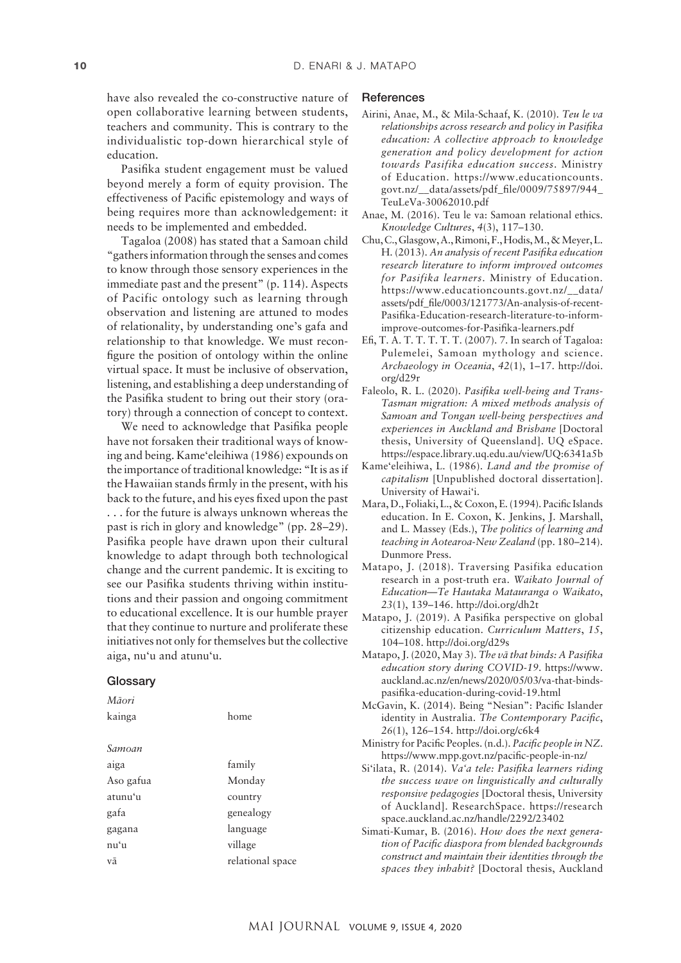have also revealed the co-constructive nature of open collaborative learning between students, teachers and community. This is contrary to the individualistic top-down hierarchical style of education.

Pasifika student engagement must be valued beyond merely a form of equity provision. The effectiveness of Pacific epistemology and ways of being requires more than acknowledgement: it needs to be implemented and embedded.

Tagaloa (2008) has stated that a Samoan child "gathers information through the senses and comes to know through those sensory experiences in the immediate past and the present" (p. 114). Aspects of Pacific ontology such as learning through observation and listening are attuned to modes of relationality, by understanding one's gafa and relationship to that knowledge. We must reconfigure the position of ontology within the online virtual space. It must be inclusive of observation, listening, and establishing a deep understanding of the Pasifika student to bring out their story (oratory) through a connection of concept to context.

We need to acknowledge that Pasifika people have not forsaken their traditional ways of knowing and being. Kame'eleihiwa (1986) expounds on the importance of traditional knowledge: "It is as if the Hawaiian stands firmly in the present, with his back to the future, and his eyes fixed upon the past . . . for the future is always unknown whereas the past is rich in glory and knowledge" (pp. 28–29). Pasifika people have drawn upon their cultural knowledge to adapt through both technological change and the current pandemic. It is exciting to see our Pasifika students thriving within institutions and their passion and ongoing commitment to educational excellence. It is our humble prayer that they continue to nurture and proliferate these initiatives not only for themselves but the collective aiga, nu'u and atunu'u.

#### **Glossary**

| Māori     |                  |
|-----------|------------------|
| kainga    | home             |
|           |                  |
| Samoan    |                  |
| aiga      | family           |
| Aso gafua | Monday           |
| atunu'u   | country          |
| gafa      | genealogy        |
| gagana    | language         |
| nuʻu      | village          |
| vā        | relational space |

#### **References**

- Airini, Anae, M., & Mila-Schaaf, K. (2010). *Teu le va relationships across research and policy in Pasifika education: A collective approach to knowledge generation and policy development for action towards Pasifika education success*. Ministry of Education. [https://www.educationcounts.](https://www.educationcounts.govt.nz/__data/assets/pdf_file/0009/75897/944_TeuLeVa-30062010.pdf) [govt.nz/\\_\\_data/assets/pdf\\_file/0009/75897/944\\_](https://www.educationcounts.govt.nz/__data/assets/pdf_file/0009/75897/944_TeuLeVa-30062010.pdf) [TeuLeVa-30062010.pdf](https://www.educationcounts.govt.nz/__data/assets/pdf_file/0009/75897/944_TeuLeVa-30062010.pdf)
- Anae, M. (2016). Teu le va: Samoan relational ethics. *Knowledge Cultures*, *4*(3), 117–130.
- Chu, C., Glasgow, A., Rimoni, F., Hodis, M., & Meyer,L. H. (2013). *An analysis of recent Pasifika education research literature to inform improved outcomes for Pasifika learners*. Ministry of Education. [https://www.educationcounts.govt.nz/\\_\\_data/](https://www.educationcounts.govt.nz/__data/assets/pdf_file/0003/121773/An-analysis-of-recent-Pasifika-Education-research-literature-to-inform-improve-outcomes-for-Pasifika-learners.pdf) [assets/pdf\\_file/0003/121773/An-analysis-of-recent-](https://www.educationcounts.govt.nz/__data/assets/pdf_file/0003/121773/An-analysis-of-recent-Pasifika-Education-research-literature-to-inform-improve-outcomes-for-Pasifika-learners.pdf)[Pasifika-Education-research-literature-to-inform](https://www.educationcounts.govt.nz/__data/assets/pdf_file/0003/121773/An-analysis-of-recent-Pasifika-Education-research-literature-to-inform-improve-outcomes-for-Pasifika-learners.pdf)[improve-outcomes-for-Pasifika-learners.pdf](https://www.educationcounts.govt.nz/__data/assets/pdf_file/0003/121773/An-analysis-of-recent-Pasifika-Education-research-literature-to-inform-improve-outcomes-for-Pasifika-learners.pdf)
- Efi, T. A. T. T. T. T. T. (2007). 7. In search of Tagaloa: Pulemelei, Samoan mythology and science. *Archaeology in Oceania*, *42*(1), 1–17. [http://doi.](http://doi.org/d29r) [org/d29r](http://doi.org/d29r)
- Faleolo, R. L. (2020). *Pasifika well-being and Trans-Tasman migration: A mixed methods analysis of Samoan and Tongan well-being perspectives and experiences in Auckland and Brisbane* [Doctoral thesis, University of Queensland]. UQ eSpace. <https://espace.library.uq.edu.au/view/UQ:6341a5b>
- Kame'eleihiwa, L. (1986). *Land and the promise of capitalism* [Unpublished doctoral dissertation]. University of Hawai'i.
- Mara, D., Foliaki, L., & Coxon, E. (1994). Pacific Islands education. In E. Coxon, K. Jenkins, J. Marshall, and L. Massey (Eds.), *The politics of learning and teaching in Aotearoa-New Zealand* (pp. 180–214). Dunmore Press.
- Matapo, J. (2018). Traversing Pasifika education research in a post-truth era. *Waikato Journal of Education—Te Hautaka Matauranga o Waikato*, *23*(1), 139–146. <http://doi.org/dh2t>
- Matapo, J. (2019). A Pasifika perspective on global citizenship education. *Curriculum Matters*, *15*, 104–108. <http://doi.org/d29s>
- Matapo, J. (2020, May 3). *The vä that binds: A Pasifika education story during COVID-19*. [https://www.](https://www.auckland.ac.nz/en/news/2020/05/03/va-that-binds-pasifika-education-during-covid-19.html) [auckland.ac.nz/en/news/2020/05/03/va-that-binds](https://www.auckland.ac.nz/en/news/2020/05/03/va-that-binds-pasifika-education-during-covid-19.html)[pasifika-education-during-covid-19.html](https://www.auckland.ac.nz/en/news/2020/05/03/va-that-binds-pasifika-education-during-covid-19.html)
- McGavin, K. (2014). Being "Nesian": Pacific Islander identity in Australia. *The Contemporary Pacific*, *26*(1), 126–154. <http://doi.org/c6k4>
- Ministry for Pacific Peoples. (n.d.). *Pacific people in NZ*. <https://www.mpp.govt.nz/pacific-people-in-nz/>
- Si'ilata, R. (2014). *Va'a tele: Pasifika learners riding the success wave on linguistically and culturally responsive pedagogies* [Doctoral thesis, University of Auckland]. ResearchSpace. [https://research](https://researchspace.auckland.ac.nz/handle/2292/23402) [space.auckland.ac.nz/handle/2292/23402](https://researchspace.auckland.ac.nz/handle/2292/23402)
- Simati-Kumar, B. (2016). *How does the next generation of Pacific diaspora from blended backgrounds construct and maintain their identities through the spaces they inhabit?* [Doctoral thesis, Auckland